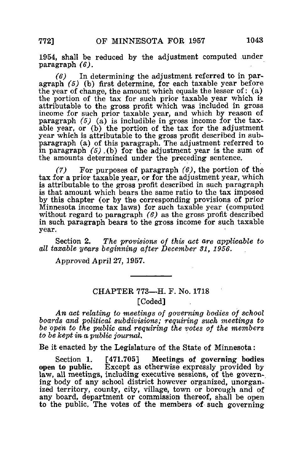1954, shall be reduced by the adjustment computed under paragraph (6).

 $(6)$  In determining the adjustment referred to in paragraph (5) (b) first determine, for each taxable year before the year of change, the amount which equals the lesser of: (a) the portion of the tax for such prior taxable year which is attributable to the gross profit which was included in gross income for such prior taxable year, and which by reason of paragraph  $(5)$   $(\overline{a})$  is includible in gross income for the taxable year, or (b) the portion of the tax for the adjustment year which is attributable to the gross profit described in subparagraph (a) of this paragraph. The adjustment referred to in paragraph  $(5)$ . (b) for the adjustment year is the sum of the amounts determined under the preceding sentence.

(7) For purposes of paragraph  $(6)$ , the portion of the tax for a prior taxable year, or for the adjustment year, which is attributable to the gross profit described in such paragraph is that amount which bears the same ratio to the tax imposed by this chapter (or by the corresponding provisions of prior Minnesota income tax laws) for such taxable year (computed without regard to paragraph  $(6)$  as the gross profit described in such paragraph bears to the gross income for such taxable year.

Section 2. The provisions of this act are applicable to all taxable years beginning after December 31, 1956.

Approved April 27, 1957.

## CHAPTER 773—H. F. No. 1718 [Coded]

An act relating to meetings of governing bodies of school boards and 'political subdivisions; requiring such meetings to be open to the public and requiring the votes of the members to be kept in a. public journal,

Be it enacted by the Legislature of the State of Minnesota:

Section 1. [471.705] Meetings of governing bodies<br>open to public. Except as otherwise expressly provided by Except as otherwise expressly provided by law, all meetings, including executive sessions, of the governing body of any school district however organized, unorganized territory, county, city, village, town or borough and of any board, department or commission thereof, shall be open to the public. The votes of the members of such governing